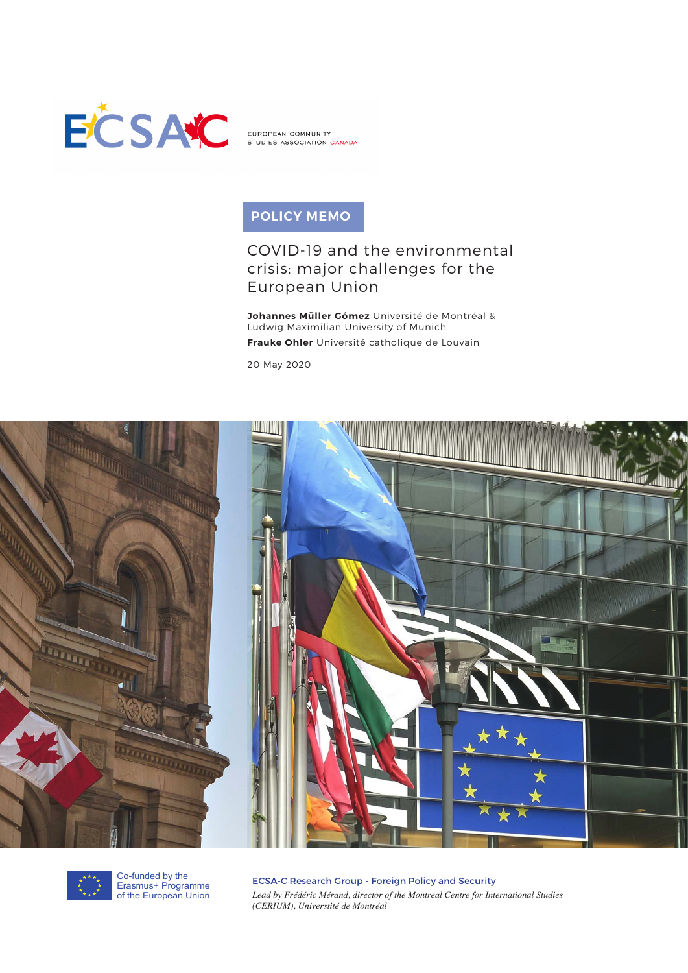

EUROPEAN COMMUNITY STUDIES ASSOCIATION CANADA

# **POLICY MEMO**

## COVID-19 and the environmental crisis: major challenges for the European Union

**Johannes Müller Gómez** Université de Montréal & Ludwig Maximilian University of Munich **Frauke Ohler** Université catholique de Louvain

20 May 2020





Co-funded by the Erasmus+ Programme of the European Union

ECSA-C Research Group - Foreign Policy and Security *Lead by Frédéric Mérand, director of the Montreal Centre for International Studies (CERIUM), Universtité de Montréal*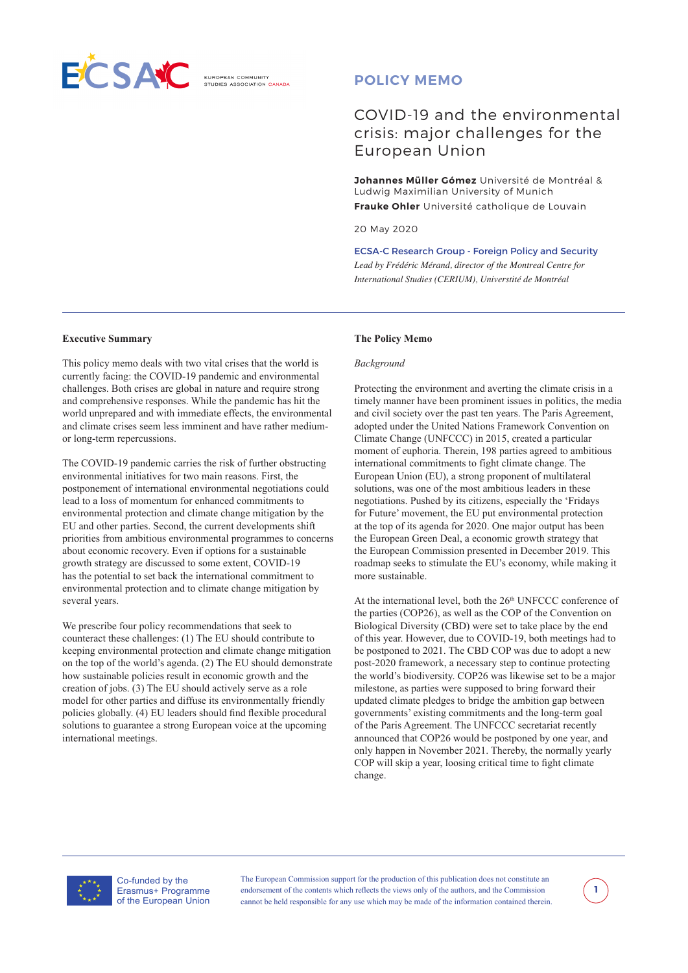

## **POLICY MEMO**

## COVID-19 and the environmental crisis: major challenges for the European Union

**Johannes Müller Gómez** Université de Montréal & Ludwig Maximilian University of Munich **Frauke Ohler** Université catholique de Louvain

20 May 2020

ECSA-C Research Group - Foreign Policy and Security *Lead by Frédéric Mérand, director of the Montreal Centre for International Studies (CERIUM), Universtité de Montréal*

#### **Executive Summary**

This policy memo deals with two vital crises that the world is currently facing: the COVID-19 pandemic and environmental challenges. Both crises are global in nature and require strong and comprehensive responses. While the pandemic has hit the world unprepared and with immediate effects, the environmental and climate crises seem less imminent and have rather mediumor long-term repercussions.

The COVID-19 pandemic carries the risk of further obstructing environmental initiatives for two main reasons. First, the postponement of international environmental negotiations could lead to a loss of momentum for enhanced commitments to environmental protection and climate change mitigation by the EU and other parties. Second, the current developments shift priorities from ambitious environmental programmes to concerns about economic recovery. Even if options for a sustainable growth strategy are discussed to some extent, COVID-19 has the potential to set back the international commitment to environmental protection and to climate change mitigation by several years.

We prescribe four policy recommendations that seek to counteract these challenges: (1) The EU should contribute to keeping environmental protection and climate change mitigation on the top of the world's agenda. (2) The EU should demonstrate how sustainable policies result in economic growth and the creation of jobs. (3) The EU should actively serve as a role model for other parties and diffuse its environmentally friendly policies globally. (4) EU leaders should find flexible procedural solutions to guarantee a strong European voice at the upcoming international meetings.

#### **The Policy Memo**

#### *Background*

Protecting the environment and averting the climate crisis in a timely manner have been prominent issues in politics, the media and civil society over the past ten years. The Paris Agreement, adopted under the United Nations Framework Convention on Climate Change (UNFCCC) in 2015, created a particular moment of euphoria. Therein, 198 parties agreed to ambitious international commitments to fight climate change. The European Union (EU), a strong proponent of multilateral solutions, was one of the most ambitious leaders in these negotiations. Pushed by its citizens, especially the 'Fridays for Future' movement, the EU put environmental protection at the top of its agenda for 2020. One major output has been the European Green Deal, a economic growth strategy that the European Commission presented in December 2019. This roadmap seeks to stimulate the EU's economy, while making it more sustainable.

At the international level, both the  $26<sup>th</sup>$  UNFCCC conference of the parties (COP26), as well as the COP of the Convention on Biological Diversity (CBD) were set to take place by the end of this year. However, due to COVID-19, both meetings had to be postponed to 2021. The CBD COP was due to adopt a new post-2020 framework, a necessary step to continue protecting the world's biodiversity. COP26 was likewise set to be a major milestone, as parties were supposed to bring forward their updated climate pledges to bridge the ambition gap between governments' existing commitments and the long-term goal of the Paris Agreement. The UNFCCC secretariat recently announced that COP26 would be postponed by one year, and only happen in November 2021. Thereby, the normally yearly COP will skip a year, loosing critical time to fight climate change.



Co-funded by the Erasmus+ Programme of the European Union

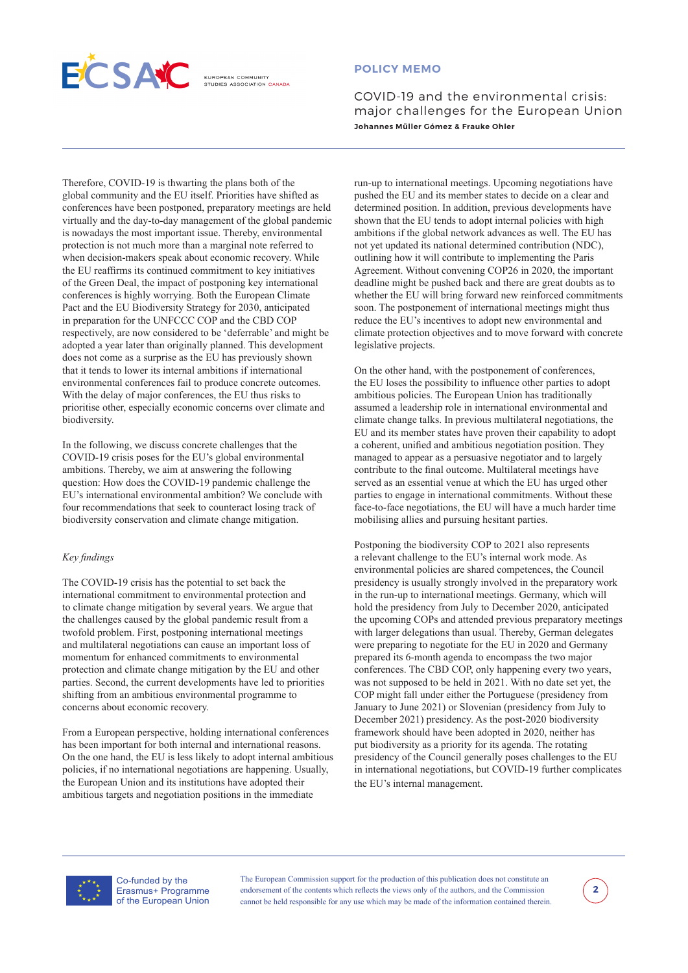

### **POLICY MEMO**

COVID-19 and the environmental crisis: major challenges for the European Union **Johannes Müller Gómez & Frauke Ohler**

Therefore, COVID-19 is thwarting the plans both of the global community and the EU itself. Priorities have shifted as conferences have been postponed, preparatory meetings are held virtually and the day-to-day management of the global pandemic is nowadays the most important issue. Thereby, environmental protection is not much more than a marginal note referred to when decision-makers speak about economic recovery. While the EU reaffirms its continued commitment to key initiatives of the Green Deal, the impact of postponing key international conferences is highly worrying. Both the European Climate Pact and the EU Biodiversity Strategy for 2030, anticipated in preparation for the UNFCCC COP and the CBD COP respectively, are now considered to be 'deferrable' and might be adopted a year later than originally planned. This development does not come as a surprise as the EU has previously shown that it tends to lower its internal ambitions if international environmental conferences fail to produce concrete outcomes. With the delay of major conferences, the EU thus risks to prioritise other, especially economic concerns over climate and biodiversity.

In the following, we discuss concrete challenges that the COVID-19 crisis poses for the EU's global environmental ambitions. Thereby, we aim at answering the following question: How does the COVID-19 pandemic challenge the EU's international environmental ambition? We conclude with four recommendations that seek to counteract losing track of biodiversity conservation and climate change mitigation.

### *Key findings*

The COVID-19 crisis has the potential to set back the international commitment to environmental protection and to climate change mitigation by several years. We argue that the challenges caused by the global pandemic result from a twofold problem. First, postponing international meetings and multilateral negotiations can cause an important loss of momentum for enhanced commitments to environmental protection and climate change mitigation by the EU and other parties. Second, the current developments have led to priorities shifting from an ambitious environmental programme to concerns about economic recovery.

From a European perspective, holding international conferences has been important for both internal and international reasons. On the one hand, the EU is less likely to adopt internal ambitious policies, if no international negotiations are happening. Usually, the European Union and its institutions have adopted their ambitious targets and negotiation positions in the immediate

run-up to international meetings. Upcoming negotiations have pushed the EU and its member states to decide on a clear and determined position. In addition, previous developments have shown that the EU tends to adopt internal policies with high ambitions if the global network advances as well. The EU has not yet updated its national determined contribution (NDC), outlining how it will contribute to implementing the Paris Agreement. Without convening COP26 in 2020, the important deadline might be pushed back and there are great doubts as to whether the EU will bring forward new reinforced commitments soon. The postponement of international meetings might thus reduce the EU's incentives to adopt new environmental and climate protection objectives and to move forward with concrete legislative projects.

On the other hand, with the postponement of conferences, the EU loses the possibility to influence other parties to adopt ambitious policies. The European Union has traditionally assumed a leadership role in international environmental and climate change talks. In previous multilateral negotiations, the EU and its member states have proven their capability to adopt a coherent, unified and ambitious negotiation position. They managed to appear as a persuasive negotiator and to largely contribute to the final outcome. Multilateral meetings have served as an essential venue at which the EU has urged other parties to engage in international commitments. Without these face-to-face negotiations, the EU will have a much harder time mobilising allies and pursuing hesitant parties.

Postponing the biodiversity COP to 2021 also represents a relevant challenge to the EU's internal work mode. As environmental policies are shared competences, the Council presidency is usually strongly involved in the preparatory work in the run-up to international meetings. Germany, which will hold the presidency from July to December 2020, anticipated the upcoming COPs and attended previous preparatory meetings with larger delegations than usual. Thereby, German delegates were preparing to negotiate for the EU in 2020 and Germany prepared its 6-month agenda to encompass the two major conferences. The CBD COP, only happening every two years, was not supposed to be held in 2021. With no date set yet, the COP might fall under either the Portuguese (presidency from January to June 2021) or Slovenian (presidency from July to December 2021) presidency. As the post-2020 biodiversity framework should have been adopted in 2020, neither has put biodiversity as a priority for its agenda. The rotating presidency of the Council generally poses challenges to the EU in international negotiations, but COVID-19 further complicates the EU's internal management.



Co-funded by the Erasmus+ Programme of the European Union

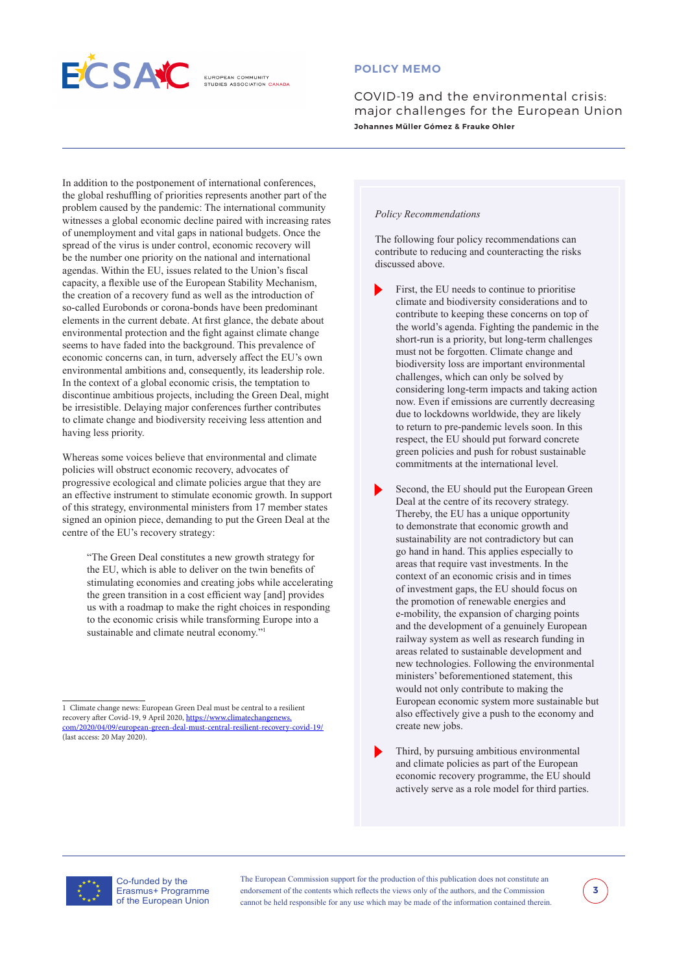

## **POLICY MEMO**

COVID-19 and the environmental crisis: major challenges for the European Union **Johannes Müller Gómez & Frauke Ohler**

In addition to the postponement of international conferences, the global reshuffling of priorities represents another part of the problem caused by the pandemic: The international community witnesses a global economic decline paired with increasing rates of unemployment and vital gaps in national budgets. Once the spread of the virus is under control, economic recovery will be the number one priority on the national and international agendas. Within the EU, issues related to the Union's fiscal capacity, a flexible use of the European Stability Mechanism, the creation of a recovery fund as well as the introduction of so-called Eurobonds or corona-bonds have been predominant elements in the current debate. At first glance, the debate about environmental protection and the fight against climate change seems to have faded into the background. This prevalence of economic concerns can, in turn, adversely affect the EU's own environmental ambitions and, consequently, its leadership role. In the context of a global economic crisis, the temptation to discontinue ambitious projects, including the Green Deal, might be irresistible. Delaying major conferences further contributes to climate change and biodiversity receiving less attention and having less priority.

Whereas some voices believe that environmental and climate policies will obstruct economic recovery, advocates of progressive ecological and climate policies argue that they are an effective instrument to stimulate economic growth. In support of this strategy, environmental ministers from 17 member states signed an opinion piece, demanding to put the Green Deal at the centre of the EU's recovery strategy:

"The Green Deal constitutes a new growth strategy for the EU, which is able to deliver on the twin benefits of stimulating economies and creating jobs while accelerating the green transition in a cost efficient way [and] provides us with a roadmap to make the right choices in responding to the economic crisis while transforming Europe into a sustainable and climate neutral economy."<sup>1</sup>

#### *Policy Recommendations*

The following four policy recommendations can contribute to reducing and counteracting the risks discussed above.

• First, the EU needs to continue to prioritise climate and biodiversity considerations and to contribute to keeping these concerns on top of the world's agenda. Fighting the pandemic in the short-run is a priority, but long-term challenges must not be forgotten. Climate change and biodiversity loss are important environmental challenges, which can only be solved by considering long-term impacts and taking action now. Even if emissions are currently decreasing due to lockdowns worldwide, they are likely to return to pre-pandemic levels soon. In this respect, the EU should put forward concrete green policies and push for robust sustainable commitments at the international level.

Second, the EU should put the European Green Deal at the centre of its recovery strategy. Thereby, the EU has a unique opportunity to demonstrate that economic growth and sustainability are not contradictory but can go hand in hand. This applies especially to areas that require vast investments. In the context of an economic crisis and in times of investment gaps, the EU should focus on the promotion of renewable energies and e-mobility, the expansion of charging points and the development of a genuinely European railway system as well as research funding in areas related to sustainable development and new technologies. Following the environmental ministers' beforementioned statement, this would not only contribute to making the European economic system more sustainable but also effectively give a push to the economy and create new jobs.

Third, by pursuing ambitious environmental and climate policies as part of the European economic recovery programme, the EU should actively serve as a role model for third parties.



Co-funded by the Erasmus+ Programme of the European Union



<sup>1</sup> Climate change news: European Green Deal must be central to a resilient recovery after Covid-19, 9 April 2020, [https://www.climatechangenews.](https://www.climatechangenews.com/2020/04/09/european-green-deal-must-central-resilient-recovery-covid-19/) [com/2020/04/09/european-green-deal-must-central-resilient-recovery-covid-19/](https://www.climatechangenews.com/2020/04/09/european-green-deal-must-central-resilient-recovery-covid-19/) (last access: 20 May 2020).